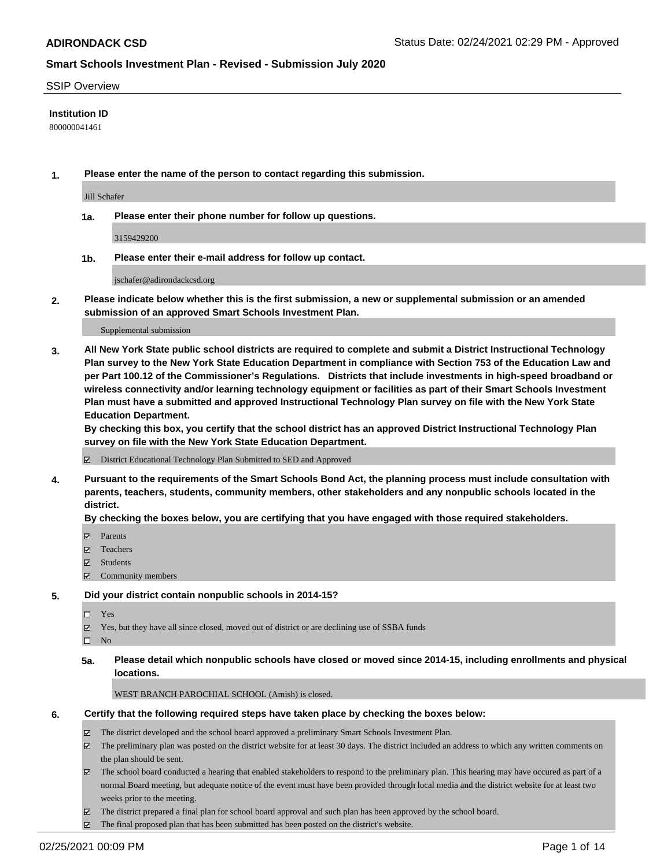### SSIP Overview

### **Institution ID**

800000041461

**1. Please enter the name of the person to contact regarding this submission.**

Jill Schafer

**1a. Please enter their phone number for follow up questions.**

3159429200

**1b. Please enter their e-mail address for follow up contact.**

jschafer@adirondackcsd.org

**2. Please indicate below whether this is the first submission, a new or supplemental submission or an amended submission of an approved Smart Schools Investment Plan.**

#### Supplemental submission

**3. All New York State public school districts are required to complete and submit a District Instructional Technology Plan survey to the New York State Education Department in compliance with Section 753 of the Education Law and per Part 100.12 of the Commissioner's Regulations. Districts that include investments in high-speed broadband or wireless connectivity and/or learning technology equipment or facilities as part of their Smart Schools Investment Plan must have a submitted and approved Instructional Technology Plan survey on file with the New York State Education Department.** 

**By checking this box, you certify that the school district has an approved District Instructional Technology Plan survey on file with the New York State Education Department.**

District Educational Technology Plan Submitted to SED and Approved

**4. Pursuant to the requirements of the Smart Schools Bond Act, the planning process must include consultation with parents, teachers, students, community members, other stakeholders and any nonpublic schools located in the district.** 

### **By checking the boxes below, you are certifying that you have engaged with those required stakeholders.**

- **Parents**
- Teachers
- Students
- $\Xi$  Community members

### **5. Did your district contain nonpublic schools in 2014-15?**

- □ Yes
- Yes, but they have all since closed, moved out of district or are declining use of SSBA funds
- $\qquad \qquad$  No
- **5a. Please detail which nonpublic schools have closed or moved since 2014-15, including enrollments and physical locations.**

WEST BRANCH PAROCHIAL SCHOOL (Amish) is closed.

### **6. Certify that the following required steps have taken place by checking the boxes below:**

- The district developed and the school board approved a preliminary Smart Schools Investment Plan.
- The preliminary plan was posted on the district website for at least 30 days. The district included an address to which any written comments on the plan should be sent.
- The school board conducted a hearing that enabled stakeholders to respond to the preliminary plan. This hearing may have occured as part of a normal Board meeting, but adequate notice of the event must have been provided through local media and the district website for at least two weeks prior to the meeting.
- The district prepared a final plan for school board approval and such plan has been approved by the school board.
- The final proposed plan that has been submitted has been posted on the district's website.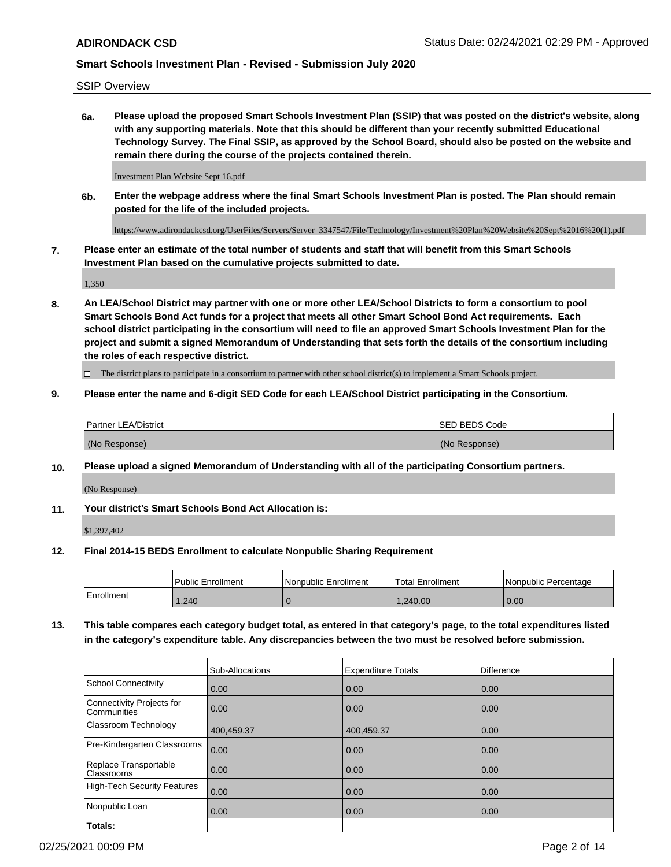SSIP Overview

**6a. Please upload the proposed Smart Schools Investment Plan (SSIP) that was posted on the district's website, along with any supporting materials. Note that this should be different than your recently submitted Educational Technology Survey. The Final SSIP, as approved by the School Board, should also be posted on the website and remain there during the course of the projects contained therein.**

Investment Plan Website Sept 16.pdf

**6b. Enter the webpage address where the final Smart Schools Investment Plan is posted. The Plan should remain posted for the life of the included projects.**

https://www.adirondackcsd.org/UserFiles/Servers/Server\_3347547/File/Technology/Investment%20Plan%20Website%20Sept%2016%20(1).pdf

**7. Please enter an estimate of the total number of students and staff that will benefit from this Smart Schools Investment Plan based on the cumulative projects submitted to date.**

1,350

**8. An LEA/School District may partner with one or more other LEA/School Districts to form a consortium to pool Smart Schools Bond Act funds for a project that meets all other Smart School Bond Act requirements. Each school district participating in the consortium will need to file an approved Smart Schools Investment Plan for the project and submit a signed Memorandum of Understanding that sets forth the details of the consortium including the roles of each respective district.**

 $\Box$  The district plans to participate in a consortium to partner with other school district(s) to implement a Smart Schools project.

### **9. Please enter the name and 6-digit SED Code for each LEA/School District participating in the Consortium.**

| Partner LEA/District | <b>ISED BEDS Code</b> |
|----------------------|-----------------------|
| (No Response)        | (No Response)         |

### **10. Please upload a signed Memorandum of Understanding with all of the participating Consortium partners.**

(No Response)

### **11. Your district's Smart Schools Bond Act Allocation is:**

\$1,397,402

### **12. Final 2014-15 BEDS Enrollment to calculate Nonpublic Sharing Requirement**

|            | Public Enrollment | Nonpublic Enrollment | Total Enrollment | Nonpublic Percentage |
|------------|-------------------|----------------------|------------------|----------------------|
| Enrollment | .240              |                      | .240.00          | 0.00                 |

**13. This table compares each category budget total, as entered in that category's page, to the total expenditures listed in the category's expenditure table. Any discrepancies between the two must be resolved before submission.**

|                                          | Sub-Allocations | <b>Expenditure Totals</b> | <b>Difference</b> |
|------------------------------------------|-----------------|---------------------------|-------------------|
| <b>School Connectivity</b>               | 0.00            | 0.00                      | 0.00              |
| Connectivity Projects for<br>Communities | 0.00            | 0.00                      | 0.00              |
| Classroom Technology                     | 400,459.37      | 400,459.37                | 0.00              |
| Pre-Kindergarten Classrooms              | 0.00            | 0.00                      | 0.00              |
| Replace Transportable<br>Classrooms      | 0.00            | 0.00                      | 0.00              |
| High-Tech Security Features              | 0.00            | 0.00                      | 0.00              |
| Nonpublic Loan                           | 0.00            | 0.00                      | 0.00              |
| Totals:                                  |                 |                           |                   |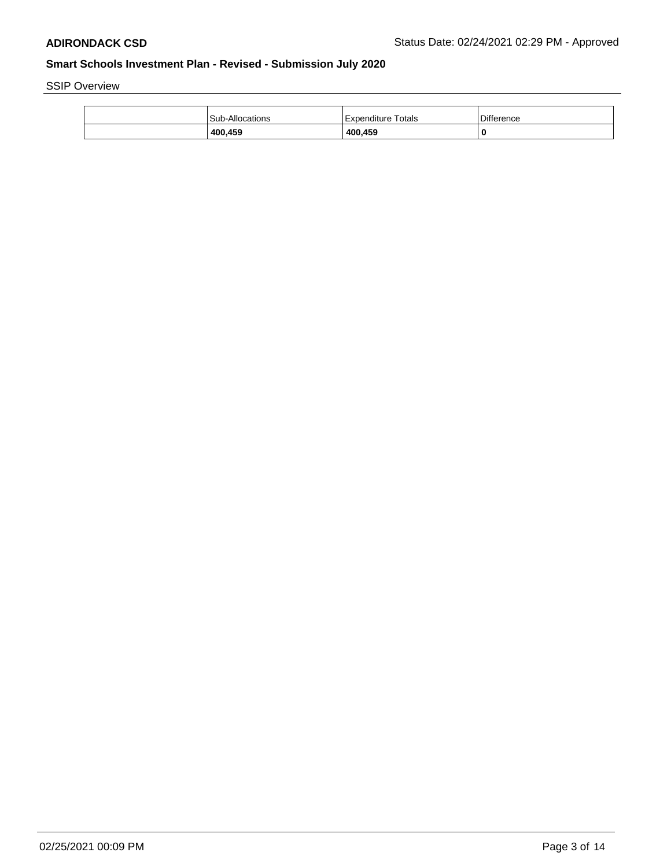SSIP Overview

| 400,459         | 400,459                |                   |
|-----------------|------------------------|-------------------|
| Sub-Allocations | Totals<br>'Expenditure | <b>Difference</b> |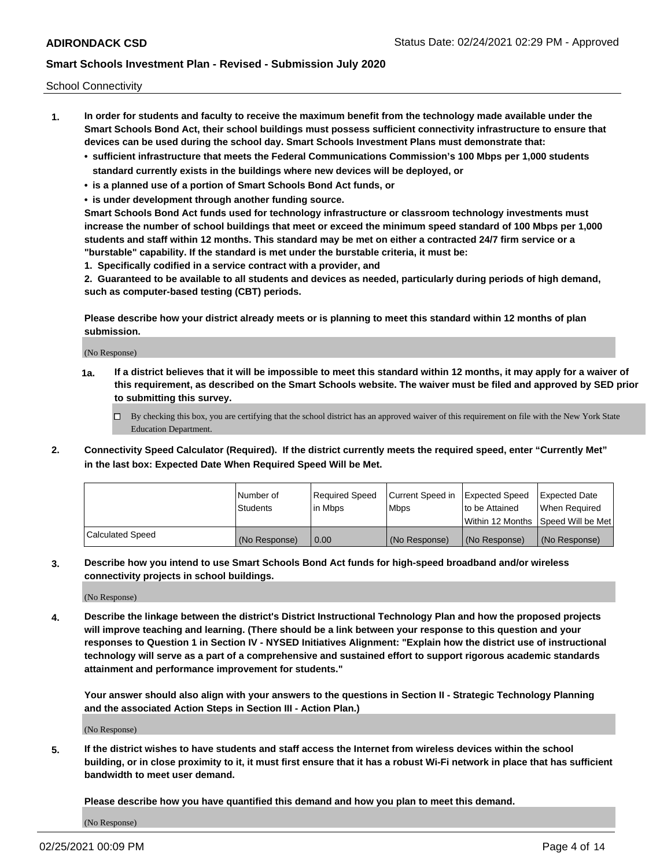School Connectivity

- **1. In order for students and faculty to receive the maximum benefit from the technology made available under the Smart Schools Bond Act, their school buildings must possess sufficient connectivity infrastructure to ensure that devices can be used during the school day. Smart Schools Investment Plans must demonstrate that:**
	- **• sufficient infrastructure that meets the Federal Communications Commission's 100 Mbps per 1,000 students standard currently exists in the buildings where new devices will be deployed, or**
	- **• is a planned use of a portion of Smart Schools Bond Act funds, or**
	- **• is under development through another funding source.**

**Smart Schools Bond Act funds used for technology infrastructure or classroom technology investments must increase the number of school buildings that meet or exceed the minimum speed standard of 100 Mbps per 1,000 students and staff within 12 months. This standard may be met on either a contracted 24/7 firm service or a "burstable" capability. If the standard is met under the burstable criteria, it must be:**

**1. Specifically codified in a service contract with a provider, and**

**2. Guaranteed to be available to all students and devices as needed, particularly during periods of high demand, such as computer-based testing (CBT) periods.**

**Please describe how your district already meets or is planning to meet this standard within 12 months of plan submission.**

(No Response)

**1a. If a district believes that it will be impossible to meet this standard within 12 months, it may apply for a waiver of this requirement, as described on the Smart Schools website. The waiver must be filed and approved by SED prior to submitting this survey.**

 $\Box$  By checking this box, you are certifying that the school district has an approved waiver of this requirement on file with the New York State Education Department.

**2. Connectivity Speed Calculator (Required). If the district currently meets the required speed, enter "Currently Met" in the last box: Expected Date When Required Speed Will be Met.**

|                  | l Number of     | Required Speed | Current Speed in | Expected Speed | Expected Date                           |
|------------------|-----------------|----------------|------------------|----------------|-----------------------------------------|
|                  | <b>Students</b> | In Mbps        | l Mbps           | to be Attained | When Required                           |
|                  |                 |                |                  |                | l Within 12 Months ISpeed Will be Met l |
| Calculated Speed | (No Response)   | 0.00           | (No Response)    | (No Response)  | (No Response)                           |

**3. Describe how you intend to use Smart Schools Bond Act funds for high-speed broadband and/or wireless connectivity projects in school buildings.**

(No Response)

**4. Describe the linkage between the district's District Instructional Technology Plan and how the proposed projects will improve teaching and learning. (There should be a link between your response to this question and your responses to Question 1 in Section IV - NYSED Initiatives Alignment: "Explain how the district use of instructional technology will serve as a part of a comprehensive and sustained effort to support rigorous academic standards attainment and performance improvement for students."** 

**Your answer should also align with your answers to the questions in Section II - Strategic Technology Planning and the associated Action Steps in Section III - Action Plan.)**

(No Response)

**5. If the district wishes to have students and staff access the Internet from wireless devices within the school building, or in close proximity to it, it must first ensure that it has a robust Wi-Fi network in place that has sufficient bandwidth to meet user demand.**

**Please describe how you have quantified this demand and how you plan to meet this demand.**

(No Response)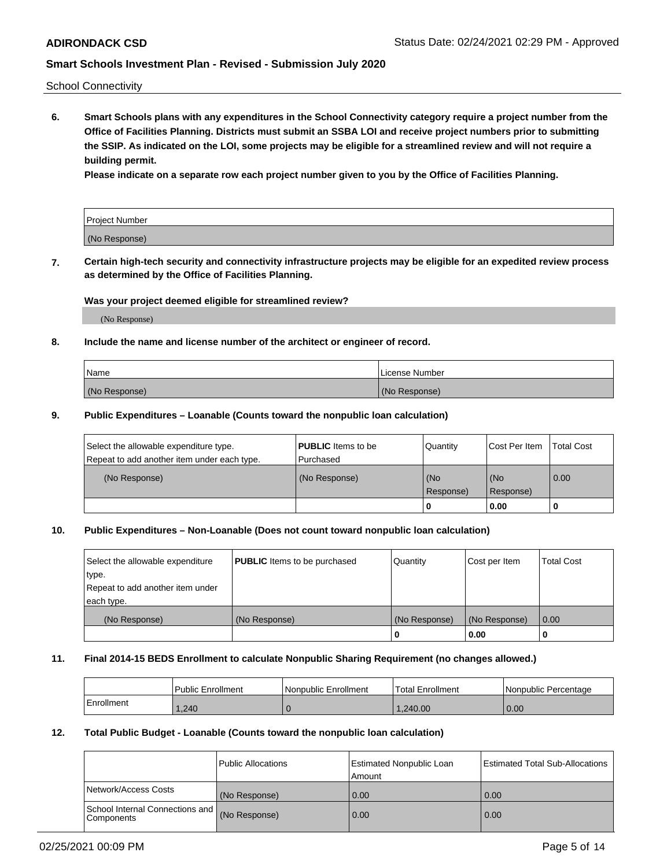School Connectivity

**6. Smart Schools plans with any expenditures in the School Connectivity category require a project number from the Office of Facilities Planning. Districts must submit an SSBA LOI and receive project numbers prior to submitting the SSIP. As indicated on the LOI, some projects may be eligible for a streamlined review and will not require a building permit.**

**Please indicate on a separate row each project number given to you by the Office of Facilities Planning.**

| Project Number |  |
|----------------|--|
| (No Response)  |  |

**7. Certain high-tech security and connectivity infrastructure projects may be eligible for an expedited review process as determined by the Office of Facilities Planning.**

### **Was your project deemed eligible for streamlined review?**

(No Response)

### **8. Include the name and license number of the architect or engineer of record.**

| Name          | License Number |
|---------------|----------------|
| (No Response) | (No Response)  |

### **9. Public Expenditures – Loanable (Counts toward the nonpublic loan calculation)**

| Select the allowable expenditure type.<br>Repeat to add another item under each type. | <b>PUBLIC</b> Items to be<br>l Purchased | Quantity           | Cost Per Item    | <b>Total Cost</b> |
|---------------------------------------------------------------------------------------|------------------------------------------|--------------------|------------------|-------------------|
| (No Response)                                                                         | (No Response)                            | l (No<br>Response) | (No<br>Response) | $\overline{0.00}$ |
|                                                                                       |                                          | O                  | 0.00             |                   |

# **10. Public Expenditures – Non-Loanable (Does not count toward nonpublic loan calculation)**

| Select the allowable expenditure | <b>PUBLIC</b> Items to be purchased | Quantity      | Cost per Item | <b>Total Cost</b> |
|----------------------------------|-------------------------------------|---------------|---------------|-------------------|
| type.                            |                                     |               |               |                   |
| Repeat to add another item under |                                     |               |               |                   |
| each type.                       |                                     |               |               |                   |
| (No Response)                    | (No Response)                       | (No Response) | (No Response) | 0.00              |
|                                  |                                     | U             | 0.00          |                   |

### **11. Final 2014-15 BEDS Enrollment to calculate Nonpublic Sharing Requirement (no changes allowed.)**

|            | Public Enrollment | Nonpublic Enrollment | 'Total Enrollment | l Nonpublic Percentage |
|------------|-------------------|----------------------|-------------------|------------------------|
| Enrollment | .240              |                      | .240.00           | 0.00                   |

### **12. Total Public Budget - Loanable (Counts toward the nonpublic loan calculation)**

|                                                      | Public Allocations | <b>Estimated Nonpublic Loan</b><br>Amount | Estimated Total Sub-Allocations |
|------------------------------------------------------|--------------------|-------------------------------------------|---------------------------------|
| Network/Access Costs                                 | (No Response)      | 0.00                                      | 0.00                            |
| School Internal Connections and<br><b>Components</b> | (No Response)      | 0.00                                      | 0.00                            |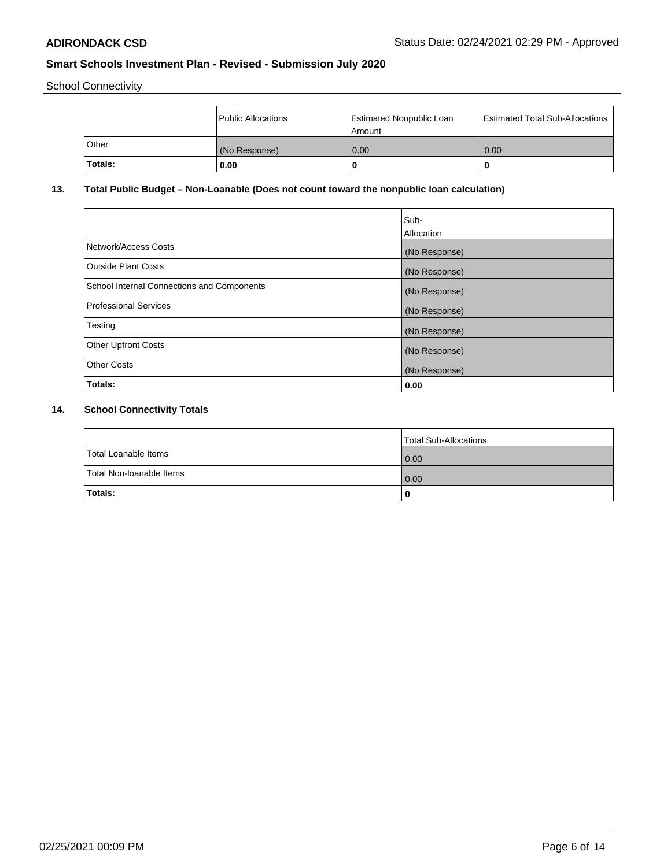School Connectivity

|                | Public Allocations | <b>Estimated Nonpublic Loan</b><br>l Amount | <b>Estimated Total Sub-Allocations</b> |
|----------------|--------------------|---------------------------------------------|----------------------------------------|
| l Other        | (No Response)      | 0.00                                        | 0.00                                   |
| <b>Totals:</b> | 0.00               | 0                                           |                                        |

# **13. Total Public Budget – Non-Loanable (Does not count toward the nonpublic loan calculation)**

|                                                   | Sub-<br>Allocation |
|---------------------------------------------------|--------------------|
| Network/Access Costs                              | (No Response)      |
| Outside Plant Costs                               | (No Response)      |
| <b>School Internal Connections and Components</b> | (No Response)      |
| Professional Services                             | (No Response)      |
| Testing                                           | (No Response)      |
| <b>Other Upfront Costs</b>                        | (No Response)      |
| <b>Other Costs</b>                                | (No Response)      |
| Totals:                                           | 0.00               |

# **14. School Connectivity Totals**

|                          | Total Sub-Allocations |
|--------------------------|-----------------------|
| Total Loanable Items     | 0.00                  |
| Total Non-Ioanable Items | 0.00                  |
| Totals:                  | 0                     |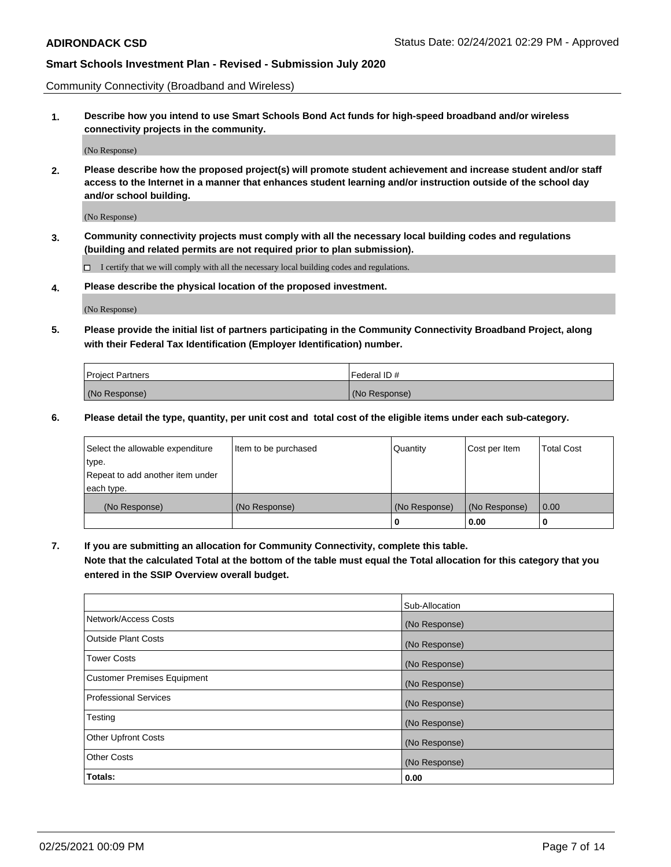Community Connectivity (Broadband and Wireless)

**1. Describe how you intend to use Smart Schools Bond Act funds for high-speed broadband and/or wireless connectivity projects in the community.**

(No Response)

**2. Please describe how the proposed project(s) will promote student achievement and increase student and/or staff access to the Internet in a manner that enhances student learning and/or instruction outside of the school day and/or school building.**

(No Response)

**3. Community connectivity projects must comply with all the necessary local building codes and regulations (building and related permits are not required prior to plan submission).**

 $\Box$  I certify that we will comply with all the necessary local building codes and regulations.

**4. Please describe the physical location of the proposed investment.**

(No Response)

**5. Please provide the initial list of partners participating in the Community Connectivity Broadband Project, along with their Federal Tax Identification (Employer Identification) number.**

| <b>Project Partners</b> | l Federal ID # |
|-------------------------|----------------|
| (No Response)           | (No Response)  |

**6. Please detail the type, quantity, per unit cost and total cost of the eligible items under each sub-category.**

| Select the allowable expenditure | Item to be purchased | Quantity      | Cost per Item | <b>Total Cost</b> |
|----------------------------------|----------------------|---------------|---------------|-------------------|
| type.                            |                      |               |               |                   |
| Repeat to add another item under |                      |               |               |                   |
| each type.                       |                      |               |               |                   |
| (No Response)                    | (No Response)        | (No Response) | (No Response) | 0.00              |
|                                  |                      | o             | 0.00          |                   |

**7. If you are submitting an allocation for Community Connectivity, complete this table.**

**Note that the calculated Total at the bottom of the table must equal the Total allocation for this category that you entered in the SSIP Overview overall budget.**

|                                    | Sub-Allocation |
|------------------------------------|----------------|
| Network/Access Costs               | (No Response)  |
| Outside Plant Costs                | (No Response)  |
| <b>Tower Costs</b>                 | (No Response)  |
| <b>Customer Premises Equipment</b> | (No Response)  |
| <b>Professional Services</b>       | (No Response)  |
| Testing                            | (No Response)  |
| <b>Other Upfront Costs</b>         | (No Response)  |
| <b>Other Costs</b>                 | (No Response)  |
| Totals:                            | 0.00           |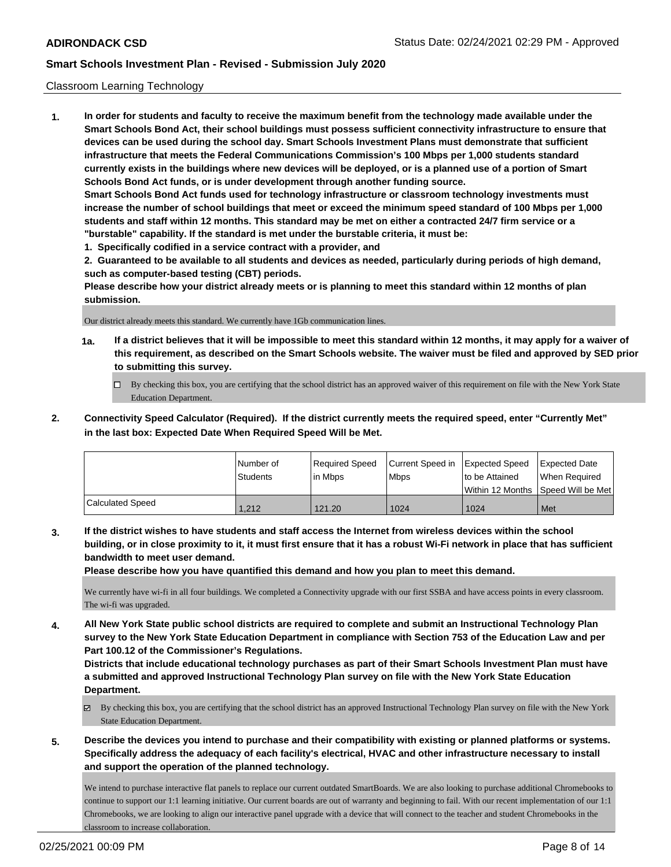### Classroom Learning Technology

**1. In order for students and faculty to receive the maximum benefit from the technology made available under the Smart Schools Bond Act, their school buildings must possess sufficient connectivity infrastructure to ensure that devices can be used during the school day. Smart Schools Investment Plans must demonstrate that sufficient infrastructure that meets the Federal Communications Commission's 100 Mbps per 1,000 students standard currently exists in the buildings where new devices will be deployed, or is a planned use of a portion of Smart Schools Bond Act funds, or is under development through another funding source. Smart Schools Bond Act funds used for technology infrastructure or classroom technology investments must increase the number of school buildings that meet or exceed the minimum speed standard of 100 Mbps per 1,000 students and staff within 12 months. This standard may be met on either a contracted 24/7 firm service or a "burstable" capability. If the standard is met under the burstable criteria, it must be:**

**1. Specifically codified in a service contract with a provider, and**

**2. Guaranteed to be available to all students and devices as needed, particularly during periods of high demand, such as computer-based testing (CBT) periods.**

**Please describe how your district already meets or is planning to meet this standard within 12 months of plan submission.**

Our district already meets this standard. We currently have 1Gb communication lines.

- **1a. If a district believes that it will be impossible to meet this standard within 12 months, it may apply for a waiver of this requirement, as described on the Smart Schools website. The waiver must be filed and approved by SED prior to submitting this survey.**
	- By checking this box, you are certifying that the school district has an approved waiver of this requirement on file with the New York State Education Department.
- **2. Connectivity Speed Calculator (Required). If the district currently meets the required speed, enter "Currently Met" in the last box: Expected Date When Required Speed Will be Met.**

|                  | l Number of     | Required Speed | Current Speed in | <b>Expected Speed</b> | <b>Expected Date</b>                    |
|------------------|-----------------|----------------|------------------|-----------------------|-----------------------------------------|
|                  | <b>Students</b> | in Mbps        | l Mbps           | to be Attained        | When Required                           |
|                  |                 |                |                  |                       | l Within 12 Months ISpeed Will be Met l |
| Calculated Speed | 1.212           | 121.20         | 1024             | 1024                  | Met                                     |

**3. If the district wishes to have students and staff access the Internet from wireless devices within the school building, or in close proximity to it, it must first ensure that it has a robust Wi-Fi network in place that has sufficient bandwidth to meet user demand.**

**Please describe how you have quantified this demand and how you plan to meet this demand.**

We currently have wi-fi in all four buildings. We completed a Connectivity upgrade with our first SSBA and have access points in every classroom. The wi-fi was upgraded.

**4. All New York State public school districts are required to complete and submit an Instructional Technology Plan survey to the New York State Education Department in compliance with Section 753 of the Education Law and per Part 100.12 of the Commissioner's Regulations.**

**Districts that include educational technology purchases as part of their Smart Schools Investment Plan must have a submitted and approved Instructional Technology Plan survey on file with the New York State Education Department.**

- $\boxtimes$  By checking this box, you are certifying that the school district has an approved Instructional Technology Plan survey on file with the New York State Education Department.
- **5. Describe the devices you intend to purchase and their compatibility with existing or planned platforms or systems. Specifically address the adequacy of each facility's electrical, HVAC and other infrastructure necessary to install and support the operation of the planned technology.**

We intend to purchase interactive flat panels to replace our current outdated SmartBoards. We are also looking to purchase additional Chromebooks to continue to support our 1:1 learning initiative. Our current boards are out of warranty and beginning to fail. With our recent implementation of our 1:1 Chromebooks, we are looking to align our interactive panel upgrade with a device that will connect to the teacher and student Chromebooks in the classroom to increase collaboration.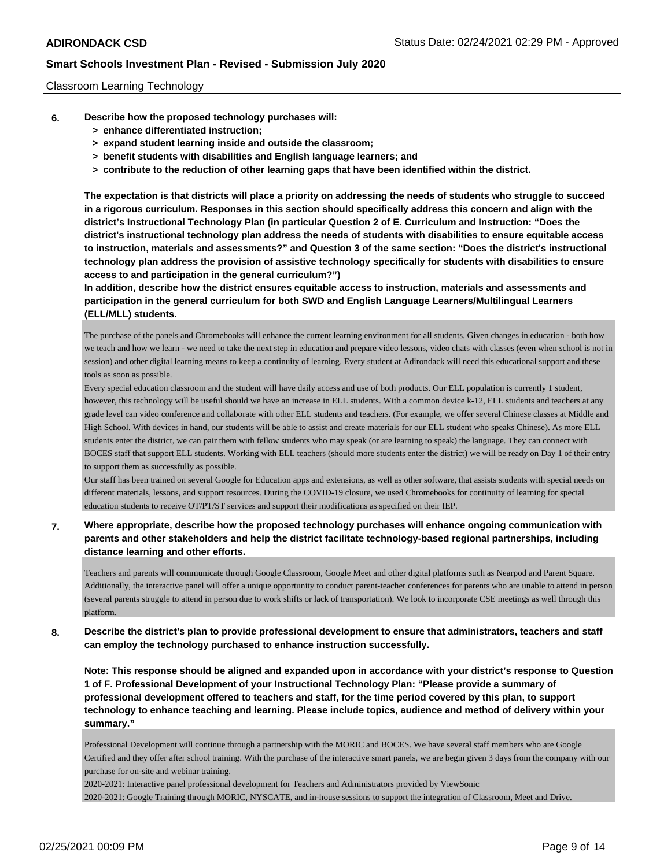### Classroom Learning Technology

- **6. Describe how the proposed technology purchases will:**
	- **> enhance differentiated instruction;**
	- **> expand student learning inside and outside the classroom;**
	- **> benefit students with disabilities and English language learners; and**
	- **> contribute to the reduction of other learning gaps that have been identified within the district.**

**The expectation is that districts will place a priority on addressing the needs of students who struggle to succeed in a rigorous curriculum. Responses in this section should specifically address this concern and align with the district's Instructional Technology Plan (in particular Question 2 of E. Curriculum and Instruction: "Does the district's instructional technology plan address the needs of students with disabilities to ensure equitable access to instruction, materials and assessments?" and Question 3 of the same section: "Does the district's instructional technology plan address the provision of assistive technology specifically for students with disabilities to ensure access to and participation in the general curriculum?")**

**In addition, describe how the district ensures equitable access to instruction, materials and assessments and participation in the general curriculum for both SWD and English Language Learners/Multilingual Learners (ELL/MLL) students.**

The purchase of the panels and Chromebooks will enhance the current learning environment for all students. Given changes in education - both how we teach and how we learn - we need to take the next step in education and prepare video lessons, video chats with classes (even when school is not in session) and other digital learning means to keep a continuity of learning. Every student at Adirondack will need this educational support and these tools as soon as possible.

Every special education classroom and the student will have daily access and use of both products. Our ELL population is currently 1 student, however, this technology will be useful should we have an increase in ELL students. With a common device k-12, ELL students and teachers at any grade level can video conference and collaborate with other ELL students and teachers. (For example, we offer several Chinese classes at Middle and High School. With devices in hand, our students will be able to assist and create materials for our ELL student who speaks Chinese). As more ELL students enter the district, we can pair them with fellow students who may speak (or are learning to speak) the language. They can connect with BOCES staff that support ELL students. Working with ELL teachers (should more students enter the district) we will be ready on Day 1 of their entry to support them as successfully as possible.

Our staff has been trained on several Google for Education apps and extensions, as well as other software, that assists students with special needs on different materials, lessons, and support resources. During the COVID-19 closure, we used Chromebooks for continuity of learning for special education students to receive OT/PT/ST services and support their modifications as specified on their IEP.

# **7. Where appropriate, describe how the proposed technology purchases will enhance ongoing communication with parents and other stakeholders and help the district facilitate technology-based regional partnerships, including distance learning and other efforts.**

Teachers and parents will communicate through Google Classroom, Google Meet and other digital platforms such as Nearpod and Parent Square. Additionally, the interactive panel will offer a unique opportunity to conduct parent-teacher conferences for parents who are unable to attend in person (several parents struggle to attend in person due to work shifts or lack of transportation). We look to incorporate CSE meetings as well through this platform.

**8. Describe the district's plan to provide professional development to ensure that administrators, teachers and staff can employ the technology purchased to enhance instruction successfully.**

**Note: This response should be aligned and expanded upon in accordance with your district's response to Question 1 of F. Professional Development of your Instructional Technology Plan: "Please provide a summary of professional development offered to teachers and staff, for the time period covered by this plan, to support technology to enhance teaching and learning. Please include topics, audience and method of delivery within your summary."**

Professional Development will continue through a partnership with the MORIC and BOCES. We have several staff members who are Google Certified and they offer after school training. With the purchase of the interactive smart panels, we are begin given 3 days from the company with our purchase for on-site and webinar training.

2020-2021: Interactive panel professional development for Teachers and Administrators provided by ViewSonic 2020-2021: Google Training through MORIC, NYSCATE, and in-house sessions to support the integration of Classroom, Meet and Drive.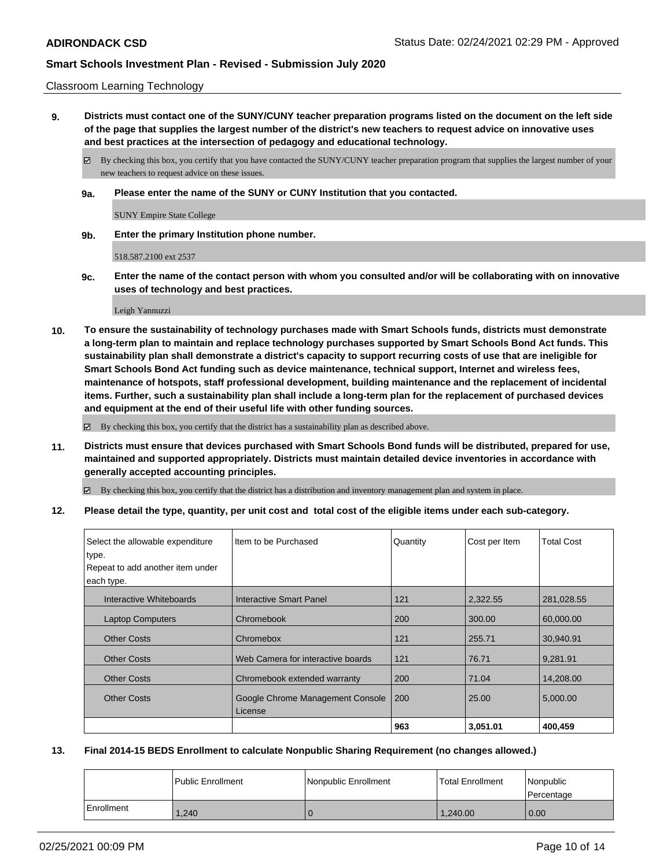### Classroom Learning Technology

**9. Districts must contact one of the SUNY/CUNY teacher preparation programs listed on the document on the left side of the page that supplies the largest number of the district's new teachers to request advice on innovative uses and best practices at the intersection of pedagogy and educational technology.**

By checking this box, you certify that you have contacted the SUNY/CUNY teacher preparation program that supplies the largest number of your new teachers to request advice on these issues.

**9a. Please enter the name of the SUNY or CUNY Institution that you contacted.**

SUNY Empire State College

**9b. Enter the primary Institution phone number.**

518.587.2100 ext 2537

**9c. Enter the name of the contact person with whom you consulted and/or will be collaborating with on innovative uses of technology and best practices.**

Leigh Yannuzzi

**10. To ensure the sustainability of technology purchases made with Smart Schools funds, districts must demonstrate a long-term plan to maintain and replace technology purchases supported by Smart Schools Bond Act funds. This sustainability plan shall demonstrate a district's capacity to support recurring costs of use that are ineligible for Smart Schools Bond Act funding such as device maintenance, technical support, Internet and wireless fees, maintenance of hotspots, staff professional development, building maintenance and the replacement of incidental items. Further, such a sustainability plan shall include a long-term plan for the replacement of purchased devices and equipment at the end of their useful life with other funding sources.**

By checking this box, you certify that the district has a sustainability plan as described above.

**11. Districts must ensure that devices purchased with Smart Schools Bond funds will be distributed, prepared for use, maintained and supported appropriately. Districts must maintain detailed device inventories in accordance with generally accepted accounting principles.**

By checking this box, you certify that the district has a distribution and inventory management plan and system in place.

**12. Please detail the type, quantity, per unit cost and total cost of the eligible items under each sub-category.**

| Select the allowable expenditure<br>type.<br>Repeat to add another item under<br>each type. | Item to be Purchased                        | Quantity | Cost per Item | <b>Total Cost</b> |
|---------------------------------------------------------------------------------------------|---------------------------------------------|----------|---------------|-------------------|
| Interactive Whiteboards                                                                     | Interactive Smart Panel                     | 121      | 2,322.55      | 281,028.55        |
| <b>Laptop Computers</b>                                                                     | Chromebook                                  | 200      | 300.00        | 60,000.00         |
| <b>Other Costs</b>                                                                          | Chromebox                                   | 121      | 255.71        | 30,940.91         |
| <b>Other Costs</b>                                                                          | Web Camera for interactive boards           | 121      | 76.71         | 9,281.91          |
| <b>Other Costs</b>                                                                          | Chromebook extended warranty                | 200      | 71.04         | 14.208.00         |
| <b>Other Costs</b>                                                                          | Google Chrome Management Console<br>License | 200      | 25.00         | 5,000.00          |
|                                                                                             |                                             | 963      | 3.051.01      | 400,459           |

### **13. Final 2014-15 BEDS Enrollment to calculate Nonpublic Sharing Requirement (no changes allowed.)**

|            | l Public Enrollment | <b>Nonpublic Enrollment</b> | <b>Total Enrollment</b> | Nonpublic<br>l Percentage |
|------------|---------------------|-----------------------------|-------------------------|---------------------------|
| Enrollment | 1.240               |                             | 1.240.00                | 0.00                      |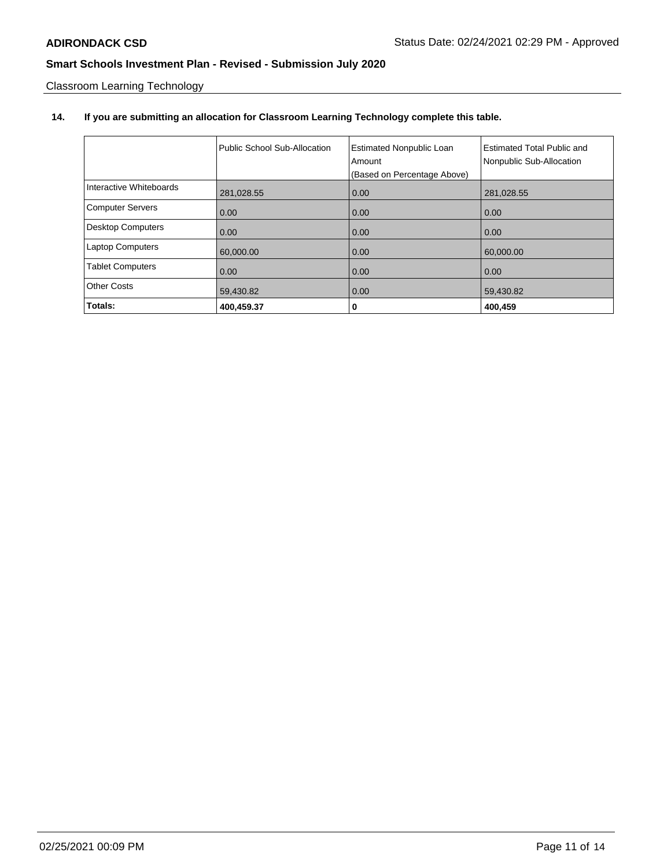Classroom Learning Technology

# **14. If you are submitting an allocation for Classroom Learning Technology complete this table.**

|                          | Public School Sub-Allocation | <b>Estimated Nonpublic Loan</b><br>Amount<br>(Based on Percentage Above) | <b>Estimated Total Public and</b><br>Nonpublic Sub-Allocation |
|--------------------------|------------------------------|--------------------------------------------------------------------------|---------------------------------------------------------------|
| Interactive Whiteboards  | 281,028.55                   | 0.00                                                                     | 281,028.55                                                    |
| <b>Computer Servers</b>  | 0.00                         | 0.00                                                                     | 0.00                                                          |
| <b>Desktop Computers</b> | 0.00                         | 0.00                                                                     | 0.00                                                          |
| <b>Laptop Computers</b>  | 60,000.00                    | 0.00                                                                     | 60,000.00                                                     |
| <b>Tablet Computers</b>  | 0.00                         | 0.00                                                                     | 0.00                                                          |
| <b>Other Costs</b>       | 59,430.82                    | 0.00                                                                     | 59,430.82                                                     |
| Totals:                  | 400,459.37                   | 0                                                                        | 400,459                                                       |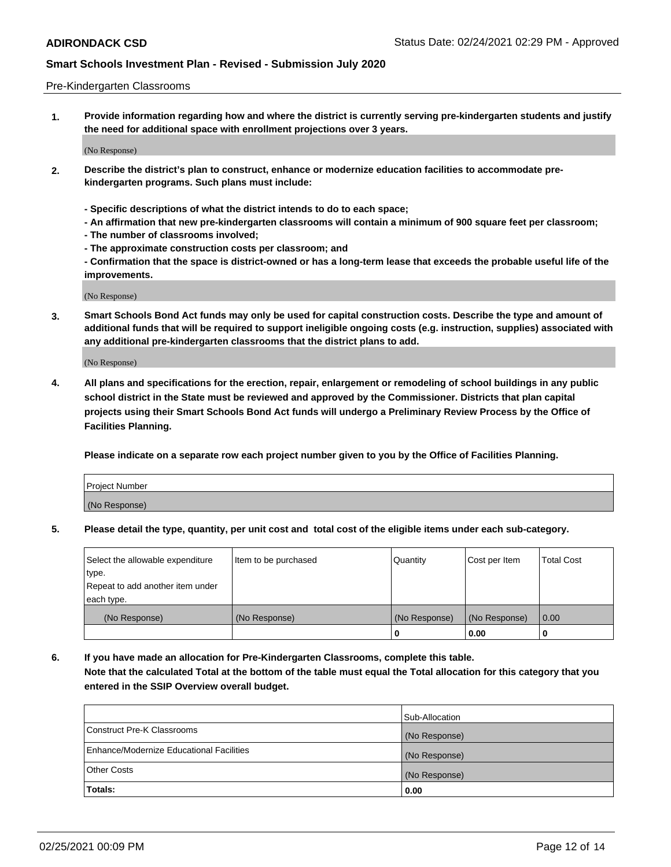### Pre-Kindergarten Classrooms

**1. Provide information regarding how and where the district is currently serving pre-kindergarten students and justify the need for additional space with enrollment projections over 3 years.**

(No Response)

- **2. Describe the district's plan to construct, enhance or modernize education facilities to accommodate prekindergarten programs. Such plans must include:**
	- **Specific descriptions of what the district intends to do to each space;**
	- **An affirmation that new pre-kindergarten classrooms will contain a minimum of 900 square feet per classroom;**
	- **The number of classrooms involved;**
	- **The approximate construction costs per classroom; and**
	- **Confirmation that the space is district-owned or has a long-term lease that exceeds the probable useful life of the improvements.**

(No Response)

**3. Smart Schools Bond Act funds may only be used for capital construction costs. Describe the type and amount of additional funds that will be required to support ineligible ongoing costs (e.g. instruction, supplies) associated with any additional pre-kindergarten classrooms that the district plans to add.**

(No Response)

**4. All plans and specifications for the erection, repair, enlargement or remodeling of school buildings in any public school district in the State must be reviewed and approved by the Commissioner. Districts that plan capital projects using their Smart Schools Bond Act funds will undergo a Preliminary Review Process by the Office of Facilities Planning.**

**Please indicate on a separate row each project number given to you by the Office of Facilities Planning.**

| Project Number |  |
|----------------|--|
| (No Response)  |  |
|                |  |

**5. Please detail the type, quantity, per unit cost and total cost of the eligible items under each sub-category.**

| Select the allowable expenditure | Item to be purchased | Quantity      | Cost per Item | <b>Total Cost</b> |
|----------------------------------|----------------------|---------------|---------------|-------------------|
| type.                            |                      |               |               |                   |
| Repeat to add another item under |                      |               |               |                   |
| each type.                       |                      |               |               |                   |
| (No Response)                    | (No Response)        | (No Response) | (No Response) | 0.00              |
|                                  |                      | U             | 0.00          |                   |

**6. If you have made an allocation for Pre-Kindergarten Classrooms, complete this table. Note that the calculated Total at the bottom of the table must equal the Total allocation for this category that you entered in the SSIP Overview overall budget.**

|                                          | Sub-Allocation |
|------------------------------------------|----------------|
| Construct Pre-K Classrooms               | (No Response)  |
| Enhance/Modernize Educational Facilities | (No Response)  |
| <b>Other Costs</b>                       | (No Response)  |
| Totals:                                  | 0.00           |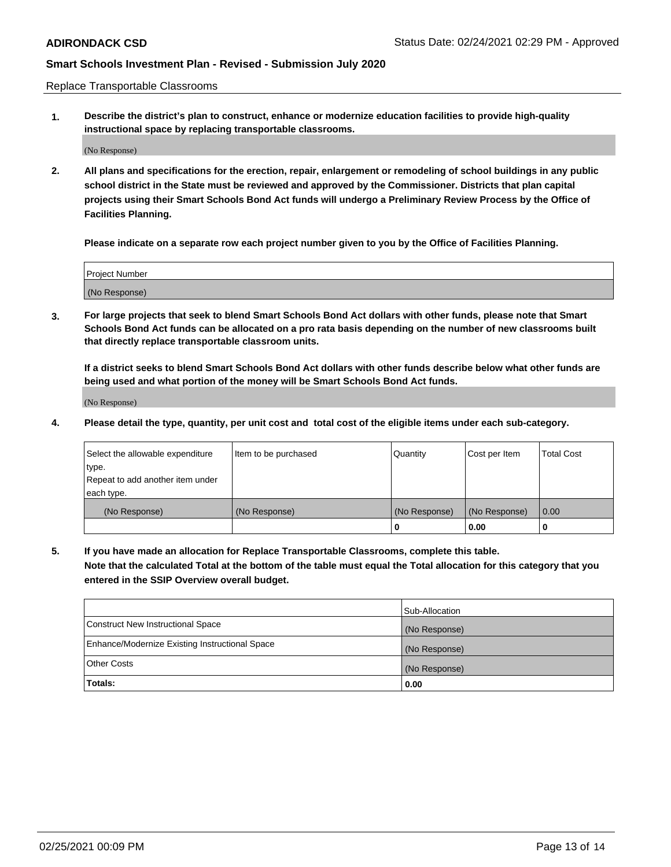Replace Transportable Classrooms

**1. Describe the district's plan to construct, enhance or modernize education facilities to provide high-quality instructional space by replacing transportable classrooms.**

(No Response)

**2. All plans and specifications for the erection, repair, enlargement or remodeling of school buildings in any public school district in the State must be reviewed and approved by the Commissioner. Districts that plan capital projects using their Smart Schools Bond Act funds will undergo a Preliminary Review Process by the Office of Facilities Planning.**

**Please indicate on a separate row each project number given to you by the Office of Facilities Planning.**

| Project Number |  |
|----------------|--|
|                |  |
|                |  |
|                |  |
|                |  |
| (No Response)  |  |
|                |  |
|                |  |
|                |  |

**3. For large projects that seek to blend Smart Schools Bond Act dollars with other funds, please note that Smart Schools Bond Act funds can be allocated on a pro rata basis depending on the number of new classrooms built that directly replace transportable classroom units.**

**If a district seeks to blend Smart Schools Bond Act dollars with other funds describe below what other funds are being used and what portion of the money will be Smart Schools Bond Act funds.**

(No Response)

**4. Please detail the type, quantity, per unit cost and total cost of the eligible items under each sub-category.**

| Select the allowable expenditure | Item to be purchased | Quantity      | Cost per Item | Total Cost |
|----------------------------------|----------------------|---------------|---------------|------------|
| ∣type.                           |                      |               |               |            |
| Repeat to add another item under |                      |               |               |            |
| each type.                       |                      |               |               |            |
| (No Response)                    | (No Response)        | (No Response) | (No Response) | 0.00       |
|                                  |                      | u             | 0.00          |            |

**5. If you have made an allocation for Replace Transportable Classrooms, complete this table. Note that the calculated Total at the bottom of the table must equal the Total allocation for this category that you entered in the SSIP Overview overall budget.**

|                                                | Sub-Allocation |
|------------------------------------------------|----------------|
| Construct New Instructional Space              | (No Response)  |
| Enhance/Modernize Existing Instructional Space | (No Response)  |
| Other Costs                                    | (No Response)  |
| Totals:                                        | 0.00           |